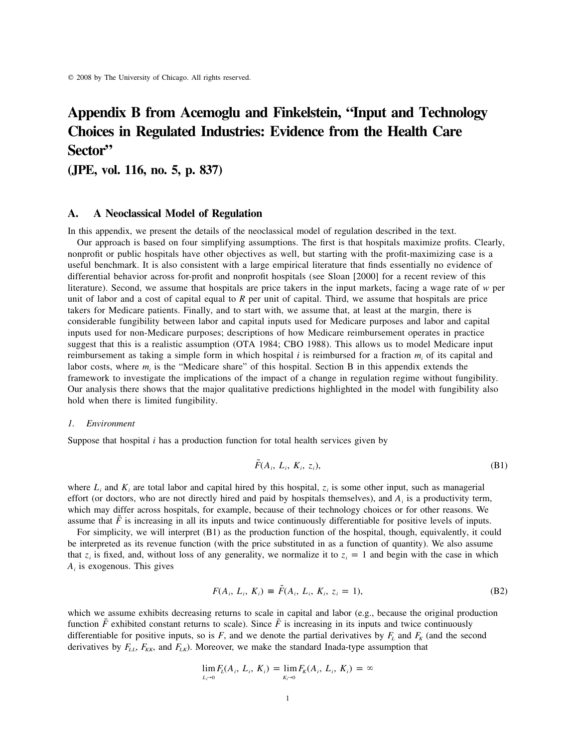# **Appendix B from Acemoglu and Finkelstein, "Input and Technology Choices in Regulated Industries: Evidence from the Health Care Sector"**

**(JPE, vol. 116, no. 5, p. 837)**

# **A. A Neoclassical Model of Regulation**

In this appendix, we present the details of the neoclassical model of regulation described in the text.

Our approach is based on four simplifying assumptions. The first is that hospitals maximize profits. Clearly, nonprofit or public hospitals have other objectives as well, but starting with the profit-maximizing case is a useful benchmark. It is also consistent with a large empirical literature that finds essentially no evidence of differential behavior across for-profit and nonprofit hospitals (see Sloan [2000] for a recent review of this literature). Second, we assume that hospitals are price takers in the input markets, facing a wage rate of *w* per unit of labor and a cost of capital equal to *R* per unit of capital. Third, we assume that hospitals are price takers for Medicare patients. Finally, and to start with, we assume that, at least at the margin, there is considerable fungibility between labor and capital inputs used for Medicare purposes and labor and capital inputs used for non-Medicare purposes; descriptions of how Medicare reimbursement operates in practice suggest that this is a realistic assumption (OTA 1984; CBO 1988). This allows us to model Medicare input reimbursement as taking a simple form in which hospital  $i$  is reimbursed for a fraction  $m_i$  of its capital and labor costs, where  $m_i$  is the "Medicare share" of this hospital. Section B in this appendix extends the framework to investigate the implications of the impact of a change in regulation regime without fungibility. Our analysis there shows that the major qualitative predictions highlighted in the model with fungibility also hold when there is limited fungibility.

# *1. Environment*

Suppose that hospital *i* has a production function for total health services given by

$$
\tilde{F}(A_i, L_i, K_i, z_i),\tag{B1}
$$

where  $L_i$  and  $K_i$  are total labor and capital hired by this hospital,  $z_i$  is some other input, such as managerial effort (or doctors, who are not directly hired and paid by hospitals themselves), and  $A_i$  is a productivity term, which may differ across hospitals, for example, because of their technology choices or for other reasons. We assume that  $\overline{F}$  is increasing in all its inputs and twice continuously differentiable for positive levels of inputs.

For simplicity, we will interpret (B1) as the production function of the hospital, though, equivalently, it could be interpreted as its revenue function (with the price substituted in as a function of quantity). We also assume that  $z_i$  is fixed, and, without loss of any generality, we normalize it to  $z_i = 1$  and begin with the case in which *A* is exogenous. This gives *<sup>i</sup>*

$$
F(A_i, L_i, K_i) \equiv \tilde{F}(A_i, L_i, K_i, z_i = 1),
$$
 (B2)

which we assume exhibits decreasing returns to scale in capital and labor (e.g., because the original production function  $\tilde{F}$  exhibited constant returns to scale). Since  $\tilde{F}$  is increasing in its inputs and twice continuously differentiable for positive inputs, so is  $F$ , and we denote the partial derivatives by  $F_t$  and  $F_k$  (and the second derivatives by  $F_{LL}$ ,  $F_{KK}$ , and  $F_{LK}$ ). Moreover, we make the standard Inada-type assumption that

$$
\lim_{L_i \to 0} F_L(A_i, L_i, K_i) = \lim_{K_i \to 0} F_K(A_i, L_i, K_i) = \infty
$$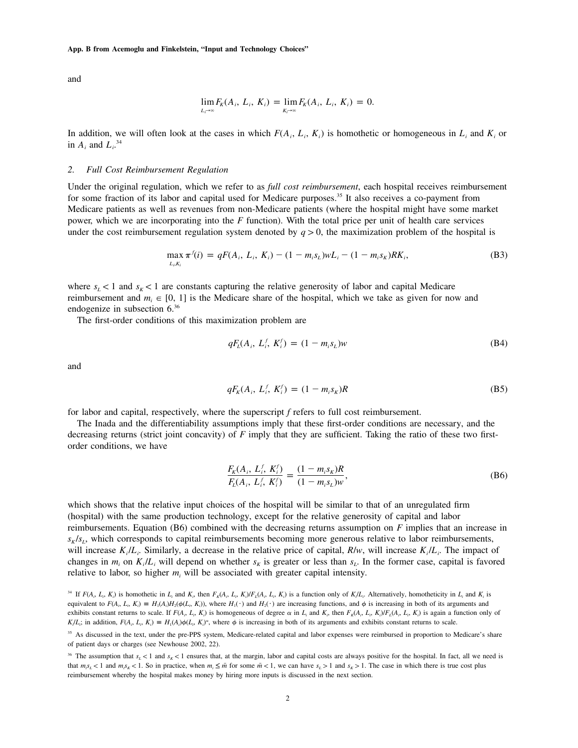and

$$
\lim_{L_i \to \infty} F_K(A_i, L_i, K_i) = \lim_{K_i \to \infty} F_K(A_i, L_i, K_i) = 0.
$$

In addition, we will often look at the cases in which  $F(A_i, L_i, K_i)$  is homothetic or homogeneous in  $L_i$  and  $K_i$  or in  $A_i$  and  $L_i$ <sup>34</sup>

# *2. Full Cost Reimbursement Regulation*

Under the original regulation, which we refer to as *full cost reimbursement*, each hospital receives reimbursement for some fraction of its labor and capital used for Medicare purposes.<sup>35</sup> It also receives a co-payment from Medicare patients as well as revenues from non-Medicare patients (where the hospital might have some market power, which we are incorporating into the *F* function). With the total price per unit of health care services under the cost reimbursement regulation system denoted by  $q > 0$ , the maximization problem of the hospital is

$$
\max_{L_i K_i} \pi^{f}(i) = qF(A_i, L_i, K_i) - (1 - m_i s_L)wL_i - (1 - m_i s_K)RK_i,
$$
\n(B3)

where  $s_L < 1$  and  $s_R < 1$  are constants capturing the relative generosity of labor and capital Medicare reimbursement and  $m_i \in [0, 1]$  is the Medicare share of the hospital, which we take as given for now and endogenize in subsection 6.36

The first-order conditions of this maximization problem are

$$
qF_L(A_i, L_i^f, K_i^f) = (1 - m_i s_L)w
$$
 (B4)

and

$$
qF_K(A_i, L_i^f, K_i^f) = (1 - m_i s_K)R
$$
 (B5)

for labor and capital, respectively, where the superscript *f* refers to full cost reimbursement.

The Inada and the differentiability assumptions imply that these first-order conditions are necessary, and the decreasing returns (strict joint concavity) of *F* imply that they are sufficient. Taking the ratio of these two firstorder conditions, we have

$$
\frac{F_K(A_i, L_i^f, K_i^f)}{F_L(A_i, L_i^f, K_i^f)} = \frac{(1 - m_i s_K)R}{(1 - m_i s_L)w},
$$
\n(B6)

which shows that the relative input choices of the hospital will be similar to that of an unregulated firm (hospital) with the same production technology, except for the relative generosity of capital and labor reimbursements. Equation (B6) combined with the decreasing returns assumption on *F* implies that an increase in  $s_K/s_L$ , which corresponds to capital reimbursements becoming more generous relative to labor reimbursements, will increase  $K_i/L_i$ . Similarly, a decrease in the relative price of capital,  $R/w$ , will increase  $K_i/L_i$ . The impact of changes in  $m_i$  on  $K_i/L_i$  will depend on whether  $s_k$  is greater or less than  $s_i$ . In the former case, capital is favored relative to labor, so higher  $m_i$  will be associated with greater capital intensity.

<sup>&</sup>lt;sup>34</sup> If  $F(A_5, L_5, K_1)$  is homothetic in  $L_i$  and  $K_i$ , then  $F_k(A_5, L_5, K_i)/F_k(A_5, L_5, K_i)$  is a function only of  $K/L_i$ . Alternatively, homotheticity in  $L_i$  and  $K_i$  is equivalent to  $F(A_i, L_i, K_i) = H_1(A_i)H_2(\phi(L_i, K_i))$ , where  $H_1(\cdot)$  and  $H_2(\cdot)$  are increasing functions, and  $\phi$  is increasing in both of its arguments and exhibits constant returns to scale. If  $F(A_i, L_i, K_i)$  is homogeneous of degree  $\alpha$  in  $L_i$  and  $K_i$ , then  $F_k(A_i, L_i, K_i)/F_k(A_i, L_i, K_i)$  is again a function only of  $K/L_i$ ; in addition,  $F(A_i, L_i, K_i) = H_1(A_i)\phi(L_i, K_i)^{\alpha}$ , where  $\phi$  is increasing in both of its arguments and exhibits constant returns to scale.

<sup>&</sup>lt;sup>35</sup> As discussed in the text, under the pre-PPS system, Medicare-related capital and labor expenses were reimbursed in proportion to Medicare's share of patient days or charges (see Newhouse 2002, 22).

<sup>&</sup>lt;sup>36</sup> The assumption that  $s_i < 1$  and  $s_k < 1$  ensures that, at the margin, labor and capital costs are always positive for the hospital. In fact, all we need is that  $m_{\delta}L < 1$  and  $m_{\delta}K < 1$ . So in practice, when  $m_i \leq \bar{m}$  for some  $\bar{m} < 1$ , we can have  $s_L > 1$  and  $s_K > 1$ . The case in which there is true cost plus reimbursement whereby the hospital makes money by hiring more inputs is discussed in the next section.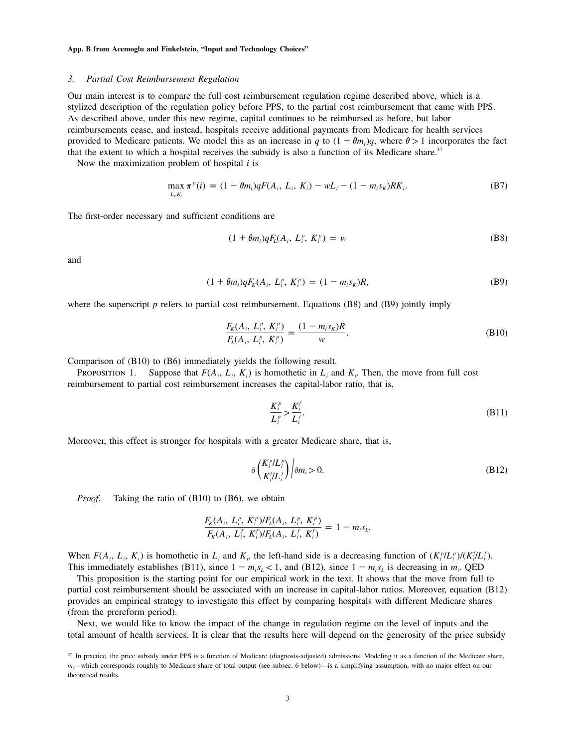## *3. Partial Cost Reimbursement Regulation*

Our main interest is to compare the full cost reimbursement regulation regime described above, which is a stylized description of the regulation policy before PPS, to the partial cost reimbursement that came with PPS. As described above, under this new regime, capital continues to be reimbursed as before, but labor reimbursements cease, and instead, hospitals receive additional payments from Medicare for health services provided to Medicare patients. We model this as an increase in *q* to  $(1 + \theta m_i)q$ , where  $\theta > 1$  incorporates the fact that the extent to which a hospital receives the subsidy is also a function of its Medicare share.<sup>37</sup>

Now the maximization problem of hospital *i* is

$$
\max_{L_i, K_i} \pi^p(i) = (1 + \theta m_i) q F(A_i, L_i, K_i) - w L_i - (1 - m_i s_k) R K_i.
$$
 (B7)

The first-order necessary and sufficient conditions are

$$
(1 + \theta m_i)qF_L(A_i, L_i^p, K_i^p) = w \tag{B8}
$$

and

$$
(1 + \theta m_i)qF_K(A_i, L_i^p, K_i^p) = (1 - m_i s_K)R,
$$
 (B9)

where the superscript *p* refers to partial cost reimbursement. Equations (B8) and (B9) jointly imply

$$
\frac{F_K(A_i, L_i^p, K_i^p)}{F_L(A_i, L_i^p, K_i^p)} = \frac{(1 - m_i s_K)R}{w}.
$$
\n(B10)

Comparison of (B10) to (B6) immediately yields the following result.

PROPOSITION 1. Suppose that  $F(A_i, L_i, K_i)$  is homothetic in  $L_i$  and  $K_i$ . Then, the move from full cost reimbursement to partial cost reimbursement increases the capital-labor ratio, that is,

$$
\frac{K_i^p}{L_i^p} > \frac{K_i^f}{L_i^f}.\tag{B11}
$$

Moreover, this effect is stronger for hospitals with a greater Medicare share, that is,

$$
\partial \left( \frac{K_i^p / L_i^p}{K_i^f / L_i^f} \right) \Big| \partial m_i > 0. \tag{B12}
$$

*Proof.* Taking the ratio of (B10) to (B6), we obtain

$$
\frac{F_K(A_i, L_i^p, K_i^p)/F_L(A_i, L_i^p, K_i^p)}{F_K(A_i, L_i^f, K_i^f)/F_L(A_i, L_i^f, K_i^f)} = 1 - m_i s_L.
$$

When  $F(A_i, L_i, K_i)$  is homothetic in  $L_i$  and  $K_i$ , the left-hand side is a decreasing function of  $(K_i^p/L_i^p)/((K_i^f/L_i^f)$ . This immediately establishes (B11), since  $1 - m_i s_L < 1$ , and (B12), since  $1 - m_i s_L$  is decreasing in  $m_i$ . QED

This proposition is the starting point for our empirical work in the text. It shows that the move from full to partial cost reimbursement should be associated with an increase in capital-labor ratios. Moreover, equation (B12) provides an empirical strategy to investigate this effect by comparing hospitals with different Medicare shares (from the prereform period).

Next, we would like to know the impact of the change in regulation regime on the level of inputs and the total amount of health services. It is clear that the results here will depend on the generosity of the price subsidy

<sup>&</sup>lt;sup>37</sup> In practice, the price subsidy under PPS is a function of Medicare (diagnosis-adjusted) admissions. Modeling it as a function of the Medicare share, *m*<sub>i</sub>—which corresponds roughly to Medicare share of total output (see subsec. 6 below)—is a simplifying assumption, with no major effect on our theoretical results.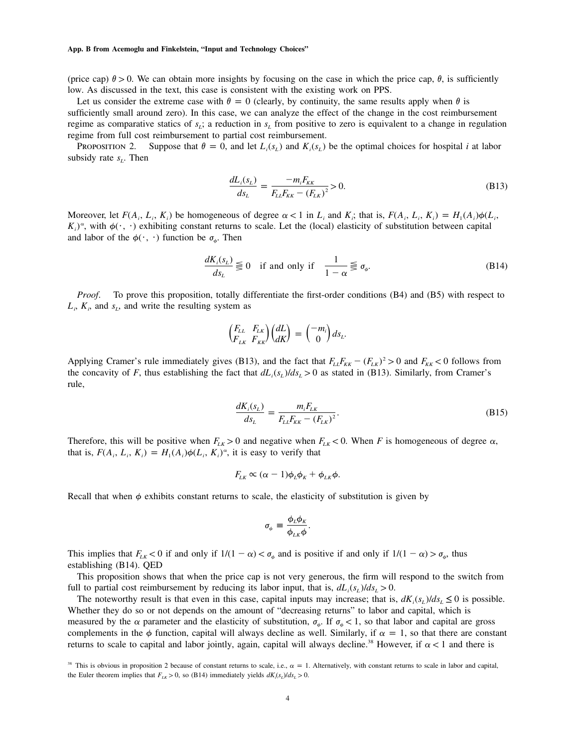(price cap)  $\theta > 0$ . We can obtain more insights by focusing on the case in which the price cap,  $\theta$ , is sufficiently low. As discussed in the text, this case is consistent with the existing work on PPS.

Let us consider the extreme case with  $\theta = 0$  (clearly, by continuity, the same results apply when  $\theta$  is sufficiently small around zero). In this case, we can analyze the effect of the change in the cost reimbursement regime as comparative statics of  $s_L$ ; a reduction in  $s_L$  from positive to zero is equivalent to a change in regulation regime from full cost reimbursement to partial cost reimbursement.

PROPOSITION 2. Suppose that  $\theta = 0$ , and let  $L_i(s_i)$  and  $K_i(s_i)$  be the optimal choices for hospital *i* at labor subsidy rate  $s_L$ . Then

$$
\frac{dL_i(s_L)}{ds_L} = \frac{-m_i F_{KK}}{F_{LL} F_{KK} - (F_{LK})^2} > 0.
$$
\n(B13)

Moreover, let  $F(A_i, L_i, K_i)$  be homogeneous of degree  $\alpha < 1$  in  $L_i$  and  $K_i$ ; that is,  $F(A_i, L_i, K_i) = H_1(A_i)\phi(L_i, K_i)$  $K_i$ <sup> $\alpha$ </sup>, with  $\phi(\cdot, \cdot)$  exhibiting constant returns to scale. Let the (local) elasticity of substitution between capital and labor of the  $\phi(\cdot, \cdot)$  function be  $\sigma_{\phi}$ . Then

$$
\frac{dK_i(s_L)}{ds_L} \lesseqqgtr 0 \quad \text{if and only if} \quad \frac{1}{1-\alpha} \lesseqqgtr \sigma_\phi. \tag{B14}
$$

*Proof*. To prove this proposition, totally differentiate the first-order conditions (B4) and (B5) with respect to  $L_i$ ,  $K_i$ , and  $s_L$ , and write the resulting system as

$$
\begin{pmatrix} F_{LL} & F_{LK} \\ F_{LK} & F_{KK} \end{pmatrix} \begin{pmatrix} dL \\ dK \end{pmatrix} = \begin{pmatrix} -m_i \\ 0 \end{pmatrix} ds_L.
$$

Applying Cramer's rule immediately gives (B13), and the fact that  $F_{LL}F_{KK} - (F_{LK})^2 > 0$  and  $F_{KK} < 0$  follows from the concavity of *F*, thus establishing the fact that  $dL_i(s_L)/ds_L > 0$  as stated in (B13). Similarly, from Cramer's rule,

$$
\frac{dK_i(s_L)}{ds_L} = \frac{m_i F_{LK}}{F_{LL} F_{KK} - (F_{LK})^2}.
$$
\n(B15)

Therefore, this will be positive when  $F_{LK} > 0$  and negative when  $F_{LK} < 0$ . When *F* is homogeneous of degree  $\alpha$ , that is,  $F(A_i, L_i, K_i) = H_1(A_i) \phi(L_i, K_i)^\alpha$ , it is easy to verify that

$$
F_{LK} \propto (\alpha - 1)\phi_L \phi_K + \phi_{LK} \phi.
$$

Recall that when  $\phi$  exhibits constant returns to scale, the elasticity of substitution is given by

$$
\sigma_{\phi} \equiv \frac{\phi_L \phi_K}{\phi_{LK} \phi}.
$$

This implies that  $F_{LK}$  < 0 if and only if  $1/(1 - \alpha) < \sigma_{\phi}$  and is positive if and only if  $1/(1 - \alpha) > \sigma_{\phi}$ , thus establishing (B14). QED

This proposition shows that when the price cap is not very generous, the firm will respond to the switch from full to partial cost reimbursement by reducing its labor input, that is,  $dL_i(s_i)/ds_i > 0$ .

The noteworthy result is that even in this case, capital inputs may increase; that is,  $dK_i(s_i)/ds_i \leq 0$  is possible. Whether they do so or not depends on the amount of "decreasing returns" to labor and capital, which is measured by the  $\alpha$  parameter and the elasticity of substitution,  $\sigma_{\phi}$ . If  $\sigma_{\phi} < 1$ , so that labor and capital are gross complements in the  $\phi$  function, capital will always decline as well. Similarly, if  $\alpha = 1$ , so that there are constant returns to scale to capital and labor jointly, again, capital will always decline.<sup>38</sup> However, if  $\alpha < 1$  and there is

<sup>&</sup>lt;sup>38</sup> This is obvious in proposition 2 because of constant returns to scale, i.e.,  $\alpha = 1$ . Alternatively, with constant returns to scale in labor and capital, the Euler theorem implies that  $F_{LK} > 0$ , so (B14) immediately yields  $dK_{\lambda}(s_L)/ds_L > 0$ .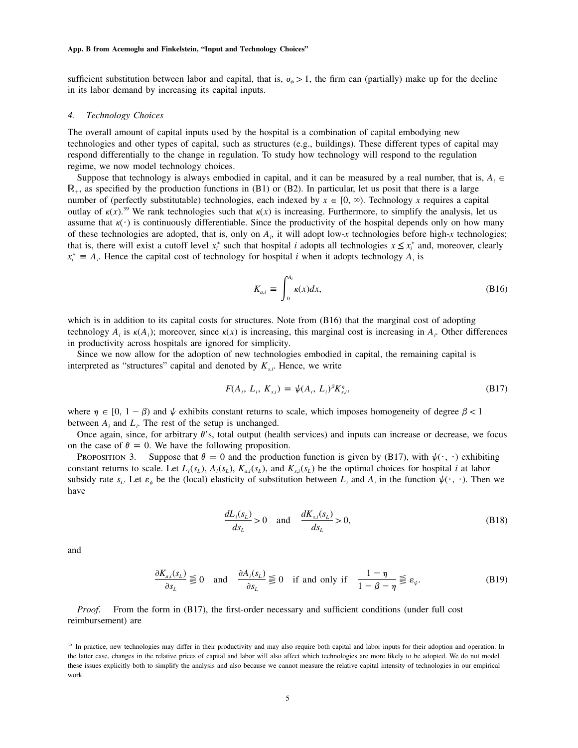sufficient substitution between labor and capital, that is,  $\sigma_{\phi} > 1$ , the firm can (partially) make up for the decline in its labor demand by increasing its capital inputs.

# *4. Technology Choices*

The overall amount of capital inputs used by the hospital is a combination of capital embodying new technologies and other types of capital, such as structures (e.g., buildings). These different types of capital may respond differentially to the change in regulation. To study how technology will respond to the regulation regime, we now model technology choices.

Suppose that technology is always embodied in capital, and it can be measured by a real number, that is,  $A_i \in$  $\mathbb{R}_+$ , as specified by the production functions in (B1) or (B2). In particular, let us posit that there is a large number of (perfectly substitutable) technologies, each indexed by  $x \in [0, \infty)$ . Technology x requires a capital outlay of  $\kappa(x)$ .<sup>39</sup> We rank technologies such that  $\kappa(x)$  is increasing. Furthermore, to simplify the analysis, let us assume that  $\kappa(\cdot)$  is continuously differentiable. Since the productivity of the hospital depends only on how many of these technologies are adopted, that is, only on  $A_i$ , it will adopt low-*x* technologies before high-*x* technologies; that is, there will exist a cutoff level  $x_i^*$  such that hospital *i* adopts all technologies  $x \leq x_i^*$  and, moreover, clearly  $x_i^* \equiv A_i$ . Hence the capital cost of technology for hospital *i* when it adopts technology  $A_i$  is

$$
K_{a,i} \equiv \int_0^{A_i} \kappa(x) dx,
$$
 (B16)

which is in addition to its capital costs for structures. Note from (B16) that the marginal cost of adopting technology  $A_i$  is  $\kappa(A_i)$ ; moreover, since  $\kappa(x)$  is increasing, this marginal cost is increasing in  $A_i$ . Other differences in productivity across hospitals are ignored for simplicity.

Since we now allow for the adoption of new technologies embodied in capital, the remaining capital is interpreted as "structures" capital and denoted by  $K_{s,i}$ . Hence, we write

$$
F(A_i, L_i, K_{s,i}) = \psi(A_i, L_i)^{\beta} K_{s,i}^{\eta}, \tag{B17}
$$

where  $\eta \in [0, 1 - \beta)$  and  $\psi$  exhibits constant returns to scale, which imposes homogeneity of degree  $\beta < 1$ between  $A_i$  and  $L_i$ . The rest of the setup is unchanged.

Once again, since, for arbitrary  $\theta$ 's, total output (health services) and inputs can increase or decrease, we focus on the case of  $\theta = 0$ . We have the following proposition.

PROPOSITION 3. Suppose that  $\theta = 0$  and the production function is given by (B17), with  $\psi(\cdot, \cdot)$  exhibiting constant returns to scale. Let  $L_i(s_L)$ ,  $A_i(s_L)$ ,  $K_{a,i}(s_L)$ , and  $K_{s,i}(s_L)$  be the optimal choices for hospital *i* at labor subsidy rate  $s_L$ . Let  $\varepsilon_{\psi}$  be the (local) elasticity of substitution between  $L_i$  and  $A_i$  in the function  $\psi(\cdot, \cdot)$ . Then we have

$$
\frac{dL_i(s_L)}{ds_L} > 0 \quad \text{and} \quad \frac{dK_{s,i}(s_L)}{ds_L} > 0,
$$
\n(B18)

and

$$
\frac{\partial K_{a,i}(s_L)}{\partial s_L} \leq 0 \quad \text{and} \quad \frac{\partial A_i(s_L)}{\partial s_L} \leq 0 \quad \text{if and only if} \quad \frac{1-\eta}{1-\beta-\eta} \leq \varepsilon_{\psi}. \tag{B19}
$$

*Proof.* From the form in (B17), the first-order necessary and sufficient conditions (under full cost reimbursement) are

<sup>&</sup>lt;sup>39</sup> In practice, new technologies may differ in their productivity and may also require both capital and labor inputs for their adoption and operation. In the latter case, changes in the relative prices of capital and labor will also affect which technologies are more likely to be adopted. We do not model these issues explicitly both to simplify the analysis and also because we cannot measure the relative capital intensity of technologies in our empirical work.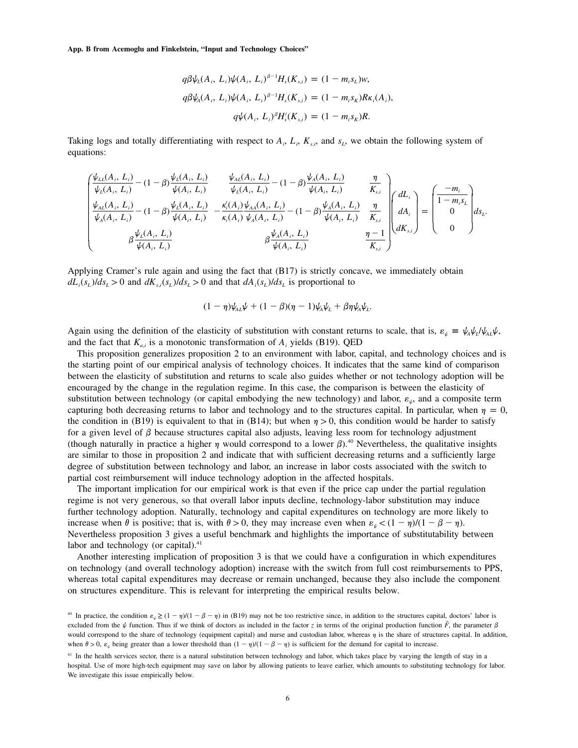$$
q\beta\psi_L(A_i, L_i)\psi(A_i, L_i)^{\beta-1}H_s(K_{s,i}) = (1 - m_i s_L)w,
$$
  
\n
$$
q\beta\psi_A(A_i, L_i)\psi(A_i, L_i)^{\beta-1}H_s(K_{s,i}) = (1 - m_i s_K)R\kappa_i(A_i),
$$
  
\n
$$
q\psi(A_i, L_i)^{\beta}H_s'(K_{s,i}) = (1 - m_i s_K)R.
$$

Taking logs and totally differentiating with respect to  $A_i$ ,  $L_i$ ,  $K_s$ , and  $s_t$ , we obtain the following system of equations:

$$
\begin{pmatrix}\n\frac{\psi_{LL}(A_i, L_i)}{\psi_L(A_i, L_i)} - (1 - \beta) \frac{\psi_L(A_i, L_i)}{\psi(A_i, L_i)} & \frac{\psi_{AL}(A_i, L_i)}{\psi_L(A_i, L_i)} - (1 - \beta) \frac{\psi_A(A_i, L_i)}{\psi(A_i, L_i)} & \frac{\eta}{K_{s,i}} \\
\frac{\psi_{AL}(A_i, L_i)}{\psi_A(A_i, L_i)} - (1 - \beta) \frac{\psi_L(A_i, L_i)}{\psi(A_i, L_i)} & \frac{\kappa'_i(A_i) \psi_{AA}(A_i, L_i)}{\kappa_i(A_i) \psi_A(A_i, L_i)} - (1 - \beta) \frac{\psi_A(A_i, L_i)}{\psi(A_i, L_i)} & \frac{\eta}{K_{s,i}} \\
\beta \frac{\psi_L(A_i, L_i)}{\psi(A_i, L_i)} & \beta \frac{\psi_A(A_i, L_i)}{\psi(A_i, L_i)} & \frac{\eta - 1}{K_{s,i}}\n\end{pmatrix}\n\begin{pmatrix}\ndL_i \\
dA_i \\
dK_{s,i}\n\end{pmatrix} = \begin{pmatrix}\n-m_i \\
1 - m_i s_L \\
0 \\
0\n\end{pmatrix} ds_L.
$$

Applying Cramer's rule again and using the fact that (B17) is strictly concave, we immediately obtain  $dL_i(s_i)/ds_i > 0$  and  $dK_{si}(s_i)/ds_i > 0$  and that  $dA_i(s_i)/ds_i$  is proportional to

$$
(1 - \eta)\psi_{AL}\psi + (1 - \beta)(\eta - 1)\psi_A\psi_L + \beta\eta\psi_A\psi_L.
$$

Again using the definition of the elasticity of substitution with constant returns to scale, that is,  $\varepsilon_{\psi} = \psi_{A} \psi_{L} / \psi_{A L} \psi$ , and the fact that  $K_{a,i}$  is a monotonic transformation of  $A_i$ , yields (B19). QED

This proposition generalizes proposition 2 to an environment with labor, capital, and technology choices and is the starting point of our empirical analysis of technology choices. It indicates that the same kind of comparison between the elasticity of substitution and returns to scale also guides whether or not technology adoption will be encouraged by the change in the regulation regime. In this case, the comparison is between the elasticity of substitution between technology (or capital embodying the new technology) and labor,  $\varepsilon_{\psi}$ , and a composite term capturing both decreasing returns to labor and technology and to the structures capital. In particular, when  $\eta = 0$ , the condition in (B19) is equivalent to that in (B14); but when  $\eta > 0$ , this condition would be harder to satisfy for a given level of  $\beta$  because structures capital also adjusts, leaving less room for technology adjustment (though naturally in practice a higher  $\eta$  would correspond to a lower  $\beta$ ).<sup>40</sup> Nevertheless, the qualitative insights are similar to those in proposition 2 and indicate that with sufficient decreasing returns and a sufficiently large degree of substitution between technology and labor, an increase in labor costs associated with the switch to partial cost reimbursement will induce technology adoption in the affected hospitals.

The important implication for our empirical work is that even if the price cap under the partial regulation regime is not very generous, so that overall labor inputs decline, technology-labor substitution may induce further technology adoption. Naturally, technology and capital expenditures on technology are more likely to increase when  $\theta$  is positive; that is, with  $\theta > 0$ , they may increase even when  $\varepsilon_{\psi} < (1 - \eta)/(1 - \beta - \eta)$ . Nevertheless proposition 3 gives a useful benchmark and highlights the importance of substitutability between labor and technology (or capital). $41$ 

Another interesting implication of proposition 3 is that we could have a configuration in which expenditures on technology (and overall technology adoption) increase with the switch from full cost reimbursements to PPS, whereas total capital expenditures may decrease or remain unchanged, because they also include the component on structures expenditure. This is relevant for interpreting the empirical results below.

<sup>&</sup>lt;sup>40</sup> In practice, the condition  $\varepsilon_{\psi} \ge (1 - \eta)/(1 - \beta - \eta)$  in (B19) may not be too restrictive since, in addition to the structures capital, doctors' labor is excluded from the  $\psi$  function. Thus if we think of doctors as included in the factor *z* in terms of the original production function  $\tilde{F}$ , the parameter  $\beta$ would correspond to the share of technology (equipment capital) and nurse and custodian labor, whereas  $\eta$  is the share of structures capital. In addition, when  $\theta > 0$ ,  $\varepsilon_{\psi}$  being greater than a lower threshold than  $(1 - \eta)/(1 - \beta - \eta)$  is sufficient for the demand for capital to increase.

<sup>&</sup>lt;sup>41</sup> In the health services sector, there is a natural substitution between technology and labor, which takes place by varying the length of stay in a hospital. Use of more high-tech equipment may save on labor by allowing patients to leave earlier, which amounts to substituting technology for labor. We investigate this issue empirically below.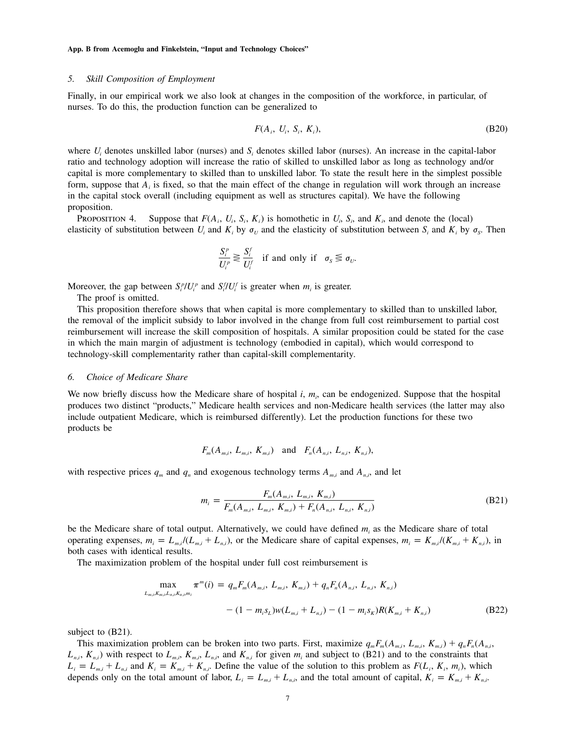## *5. Skill Composition of Employment*

Finally, in our empirical work we also look at changes in the composition of the workforce, in particular, of nurses. To do this, the production function can be generalized to

$$
F(A_i, U_i, S_i, K_i), \tag{B20}
$$

where  $U_i$  denotes unskilled labor (nurses) and  $S_i$  denotes skilled labor (nurses). An increase in the capital-labor ratio and technology adoption will increase the ratio of skilled to unskilled labor as long as technology and/or capital is more complementary to skilled than to unskilled labor. To state the result here in the simplest possible form, suppose that  $A_i$  is fixed, so that the main effect of the change in regulation will work through an increase in the capital stock overall (including equipment as well as structures capital). We have the following proposition.

PROPOSITION 4. Suppose that  $F(A_i, U_i, S_i, K_i)$  is homothetic in  $U_i$ ,  $S_i$ , and  $K_i$ , and denote the (local) elasticity of substitution between  $U_i$  and  $K_i$  by  $\sigma_{ij}$  and the elasticity of substitution between  $S_i$  and  $K_i$  by  $\sigma_{S_i}$ . Then

$$
\frac{S_i^p}{U_i^p} \gtrless \frac{S_i^f}{U_i^f}
$$
 if and only if  $\sigma_s \lessgtr \sigma_v$ .

Moreover, the gap between  $S_i^p / U_i^p$  and  $S_i^f / U_i^f$  is greater when  $m_i$  is greater.

The proof is omitted.

This proposition therefore shows that when capital is more complementary to skilled than to unskilled labor, the removal of the implicit subsidy to labor involved in the change from full cost reimbursement to partial cost reimbursement will increase the skill composition of hospitals. A similar proposition could be stated for the case in which the main margin of adjustment is technology (embodied in capital), which would correspond to technology-skill complementarity rather than capital-skill complementarity.

## *6. Choice of Medicare Share*

We now briefly discuss how the Medicare share of hospital *i*,  $m_i$ , can be endogenized. Suppose that the hospital produces two distinct "products," Medicare health services and non-Medicare health services (the latter may also include outpatient Medicare, which is reimbursed differently). Let the production functions for these two products be

$$
F_m(A_{m,i}, L_{m,i}, K_{m,i})
$$
 and  $F_n(A_{n,i}, L_{n,i}, K_{n,i})$ ,

with respective prices  $q_m$  and  $q_n$  and exogenous technology terms  $A_{m,i}$  and  $A_{n,i}$ , and let

$$
m_i = \frac{F_m(A_{m,i}, L_{m,i}, K_{m,i})}{F_m(A_{m,i}, L_{m,i}, K_{m,i}) + F_n(A_{n,i}, L_{n,i}, K_{n,i})}
$$
(B21)

be the Medicare share of total output. Alternatively, we could have defined  $m_i$  as the Medicare share of total operating expenses,  $m_i = L_{m,i}/(L_{m,i} + L_{n,i})$ , or the Medicare share of capital expenses,  $m_i = K_{m,i}/(K_{m,i} + K_{n,i})$ , in both cases with identical results.

The maximization problem of the hospital under full cost reimbursement is

$$
\max_{L_{m,i}, K_{m,i}, L_{n,i}, K_{n,i}, m_i} \pi^m(i) = q_m F_m(A_{m,i}, L_{m,i}, K_{m,i}) + q_n F_n(A_{n,i}, L_{n,i}, K_{n,i})
$$

$$
- (1 - m_i s_L) w(L_{m,i} + L_{n,i}) - (1 - m_i s_R) R(K_{m,i} + K_{n,i})
$$
(B22)

subject to  $(B21)$ .

This maximization problem can be broken into two parts. First, maximize  $q_m F_m(A_{m,i}, L_{m,i}, K_{m,i}) + q_n F_n(A_{n,i}, K_{m,i})$  $L_{n,i}$ ,  $K_{n,i}$ ) with respect to  $L_{m,i}$ ,  $K_{m,i}$ ,  $L_{n,i}$ , and  $K_{n,i}$  for given  $m_i$  and subject to (B21) and to the constraints that  $L_i = L_{m,i} + L_{n,i}$  and  $K_i = K_{m,i} + K_{n,i}$ . Define the value of the solution to this problem as  $F(L_i, K_i, m_i)$ , which depends only on the total amount of labor,  $L_i = L_{m,i} + L_{n,i}$ , and the total amount of capital,  $K_i = K_{m,i} + K_{n,i}$ .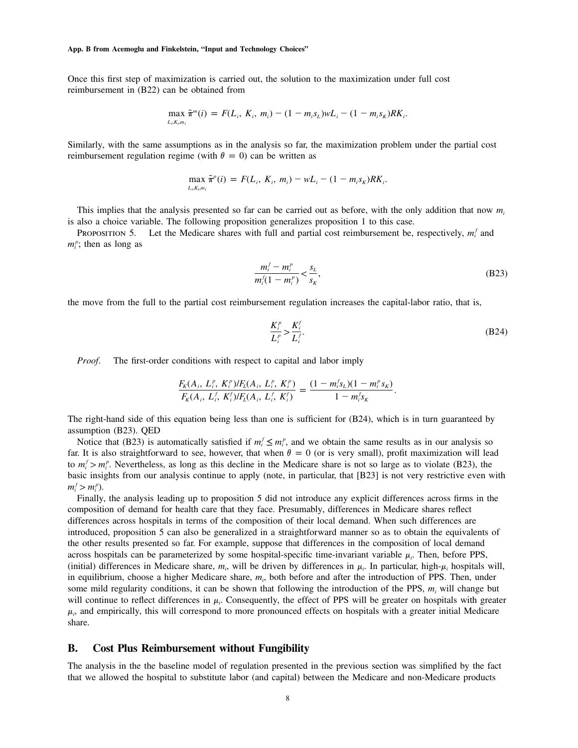Once this first step of maximization is carried out, the solution to the maximization under full cost reimbursement in (B22) can be obtained from

$$
\max_{L_i,K_i,m_i} \tilde{\pi}^m(i) = F(L_i, K_i, m_i) - (1 - m_i s_L) w L_i - (1 - m_i s_K) R K_i.
$$

Similarly, with the same assumptions as in the analysis so far, the maximization problem under the partial cost reimbursement regulation regime (with  $\theta = 0$ ) can be written as

$$
\max_{L_i,K_i,m_i} \tilde{\pi}^p(i) = F(L_i, K_i, m_i) - wL_i - (1 - m_i s_K)RK_i.
$$

This implies that the analysis presented so far can be carried out as before, with the only addition that now  $m_i$ is also a choice variable. The following proposition generalizes proposition 1 to this case.

PROPOSITION 5. Let the Medicare shares with full and partial cost reimbursement be, respectively,  $m_i^f$  and  $m_i^p$ ; then as long as

$$
\frac{m_i^f - m_i^p}{m_i^f (1 - m_i^p)} < \frac{s_L}{s_K},\tag{B23}
$$

the move from the full to the partial cost reimbursement regulation increases the capital-labor ratio, that is,

$$
\frac{K_i^p}{L_i^p} > \frac{K_i^f}{L_i^f}.\tag{B24}
$$

*Proof.* The first-order conditions with respect to capital and labor imply

$$
\frac{F_K(A_i, L_i^p, K_i^p)/F_L(A_i, L_i^p, K_i^p)}{F_K(A_i, L_i^f, K_i^f)/F_L(A_i, L_i^f, K_i^f)} = \frac{(1 - m_i^f s_L)(1 - m_i^p s_K)}{1 - m_i^f s_K}.
$$

The right-hand side of this equation being less than one is sufficient for (B24), which is in turn guaranteed by assumption (B23). QED

Notice that (B23) is automatically satisfied if  $m_i^f \le m_i^p$ , and we obtain the same results as in our analysis so far. It is also straightforward to see, however, that when  $\theta = 0$  (or is very small), profit maximization will lead to  $m_i^f > m_i^p$ . Nevertheless, as long as this decline in the Medicare share is not so large as to violate (B23), the basic insights from our analysis continue to apply (note, in particular, that [B23] is not very restrictive even with  $m_i^f > m_i^p$ ).

Finally, the analysis leading up to proposition 5 did not introduce any explicit differences across firms in the composition of demand for health care that they face. Presumably, differences in Medicare shares reflect differences across hospitals in terms of the composition of their local demand. When such differences are introduced, proposition 5 can also be generalized in a straightforward manner so as to obtain the equivalents of the other results presented so far. For example, suppose that differences in the composition of local demand across hospitals can be parameterized by some hospital-specific time-invariant variable  $\mu_i$ . Then, before PPS, (initial) differences in Medicare share,  $m_i$ , will be driven by differences in  $\mu_i$ . In particular, high- $\mu_i$  hospitals will, in equilibrium, choose a higher Medicare share,  $m_i$ , both before and after the *introduction* of PPS. Then, under some mild regularity conditions, it can be shown that following the introduction of the PPS,  $m_i$ , will change but will continue to reflect differences in  $\mu_i$ . Consequently, the effect of PPS will be greater on hospitals with greater  $\mu_i$ , and empirically, this will correspond to more pronounced effects on hospitals with a greater initial Medicare share.

# **B. Cost Plus Reimbursement without Fungibility**

The analysis in the the baseline model of regulation presented in the previous section was simplified by the fact that we allowed the hospital to substitute labor (and capital) between the Medicare and non-Medicare products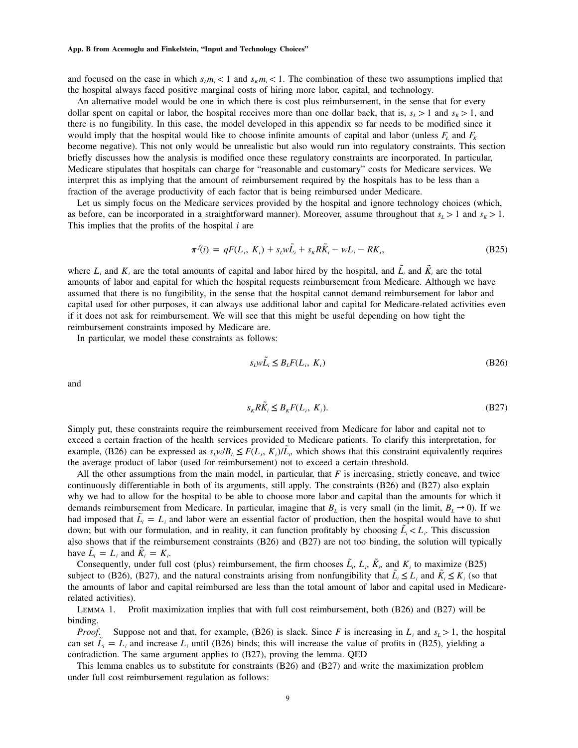and focused on the case in which  $s_i m_i < 1$  and  $s_k m_i < 1$ . The combination of these two assumptions implied that the hospital always faced positive marginal costs of hiring more labor, capital, and technology.

An alternative model would be one in which there is cost plus reimbursement, in the sense that for every dollar spent on capital or labor, the hospital receives more than one dollar back, that is,  $s_L > 1$  and  $s_R > 1$ , and there is no fungibility. In this case, the model developed in this appendix so far needs to be modified since it would imply that the hospital would like to choose infinite amounts of capital and labor (unless  $F_L$  and  $F_K$ become negative). This not only would be unrealistic but also would run into regulatory constraints. This section briefly discusses how the analysis is modified once these regulatory constraints are incorporated. In particular, Medicare stipulates that hospitals can charge for "reasonable and customary" costs for Medicare services. We interpret this as implying that the amount of reimbursement required by the hospitals has to be less than a fraction of the average productivity of each factor that is being reimbursed under Medicare.

Let us simply focus on the Medicare services provided by the hospital and ignore technology choices (which, as before, can be incorporated in a straightforward manner). Moreover, assume throughout that  $s<sub>L</sub> > 1$  and  $s<sub>K</sub> > 1$ . This implies that the profits of the hospital *i* are

$$
\pi^{j}(i) = qF(L_i, K_i) + s_{L}w\tilde{L_i} + s_{K}R\tilde{K_i} - wL_i - RK_i,
$$
\n(B25)

where  $L_i$  and  $K_i$  are the total amounts of capital and labor hired by the hospital, and  $\tilde{L}_i$  and  $\tilde{K}_i$  are the total amounts of labor and capital for which the hospital requests reimbursement from Medicare. Although we have assumed that there is no fungibility, in the sense that the hospital cannot demand reimbursement for labor and capital used for other purposes, it can always use additional labor and capital for Medicare-related activities even if it does not ask for reimbursement. We will see that this might be useful depending on how tight the reimbursement constraints imposed by Medicare are.

In particular, we model these constraints as follows:

$$
s_{\underline{i}}w\tilde{L}_i \leq B_{\underline{i}}F(L_i, K_i) \tag{B26}
$$

and

$$
s_k R\tilde{K}_i \leq B_k F(L_i, K_i). \tag{B27}
$$

Simply put, these constraints require the reimbursement received from Medicare for labor and capital not to exceed a certain fraction of the health services provided to Medicare patients. To clarify this interpretation, for example, (B26) can be expressed as  $s_L w/B_L \leq F(L_i, K_i)/\tilde{L_i}$ , which shows that this constraint equivalently requires the average product of labor (used for reimbursement) not to exceed a certain threshold.

All the other assumptions from the main model, in particular, that  $F$  is increasing, strictly concave, and twice continuously differentiable in both of its arguments, still apply. The constraints (B26) and (B27) also explain why we had to allow for the hospital to be able to choose more labor and capital than the amounts for which it demands reimbursement from Medicare. In particular, imagine that  $B_L$  is very small (in the limit,  $B_L \rightarrow 0$ ). If we had imposed that  $\tilde{L}_i = L_i$  and labor were an essential factor of production, then the hospital would have to shut down; but with our formulation, and in reality, it can function profitably by choosing  $\tilde{L}_i < L_i$ . This discussion also shows that if the reimbursement constraints (B26) and (B27) are not too binding, the solution will typically have  $\tilde{L}_i = L_i$  and  $\tilde{K}_i = K_i$ .

Consequently, under full cost (plus) reimbursement, the firm chooses  $\tilde{L}_i$ ,  $L_i$ ,  $\tilde{K}_i$ , and  $K_i$  to maximize (B25) subject to (B26), (B27), and the natural constraints arising from nonfungibility that  $\bar{L}_i \leq L_i$  and  $K_i \leq K_i$  (so that the amounts of labor and capital reimbursed are less than the total amount of labor and capital used in Medicarerelated activities).

Lemma 1. Profit maximization implies that with full cost reimbursement, both (B26) and (B27) will be binding.

*Proof.* Suppose not and that, for example, (B26) is slack. Since *F* is increasing in  $L_i$  and  $s_i > 1$ , the hospital can set  $\tilde{L}_i = L_i$  and increase  $L_i$  until (B26) binds; this will increase the value of profits in (B25), yielding a contradiction. The same argument applies to (B27), proving the lemma. QED

This lemma enables us to substitute for constraints (B26) and (B27) and write the maximization problem under full cost reimbursement regulation as follows: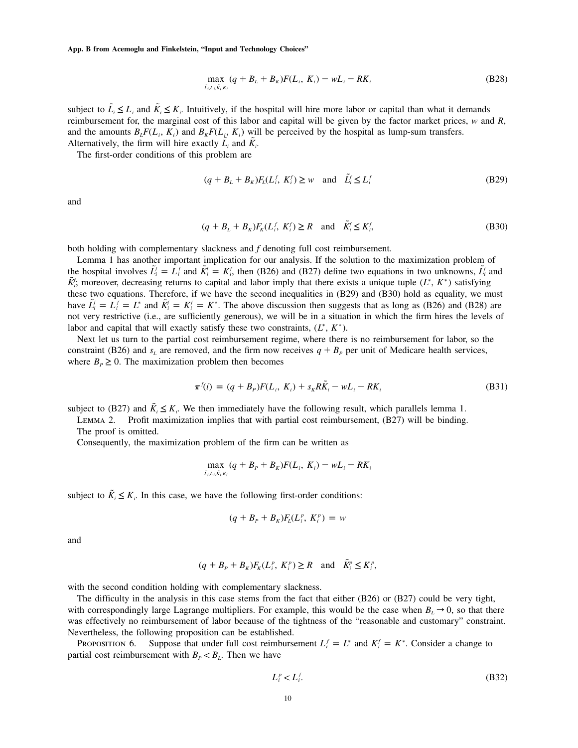$$
\max_{\tilde{L}_i, L_i, \tilde{K}_i, K_i} (q + B_L + B_K) F(L_i, K_i) - wL_i - RK_i
$$
\n(B28)

subject to  $\tilde{L}_i \leq L_i$  and  $\tilde{K}_i \leq K_i$ . Intuitively, if the hospital will hire more labor or capital than what it demands reimbursement for, the marginal cost of this labor and capital will be given by the factor market prices, *w* and *R*, and the amounts  $B_t F(L_i, K_i)$  and  $B_k F(L_i, K_i)$  will be perceived by the hospital as lump-sum transfers. Alternatively, the firm will hire exactly  $L_i$  and  $K_i$ .

The first-order conditions of this problem are

$$
(q + BL + BK)FL(Lif, Kif) \ge w \text{ and } \tilde{L}if \le Lif
$$
 (B29)

and

$$
(q + BL + BK)FK(Lif, Kif) \ge R \text{ and } \tilde{K}if \le Kif,
$$
\n(B30)

both holding with complementary slackness and *f* denoting full cost reimbursement.

Lemma 1 has another important implication for our analysis. If the solution to the maximization problem of the hospital involves  $\tilde{L}^f_i = L^f_i$  and  $\tilde{K}^f_i = K^f_i$ , then (B26) and (B27) define two equations in two unknowns,  $\tilde{L}^f_i$  and  $\tilde{K}$ ; moreover, decreasing returns to capital and labor imply that there exists a unique tuple  $(L^*, K^*)$  satisfying these two equations. Therefore, if we have the second inequalities in (B29) and (B30) hold as equality, we must have  $L_i^f = L_i^f = L^*$  and  $K_i^f = K_i^f = K^*$ . The above discussion then suggests that as long as (B26) and (B28) are not very restrictive (i.e., are sufficiently generous), we will be in a situation in which the firm hires the levels of labor and capital that will exactly satisfy these two constraints,  $(L^*, K^*)$ .

Next let us turn to the partial cost reimbursement regime, where there is no reimbursement for labor, so the constraint (B26) and  $s_L$  are removed, and the firm now receives  $q + B_p$  per unit of Medicare health services, where  $B_P \geq 0$ . The maximization problem then becomes

$$
\pi^{f}(i) = (q + B_{P})F(L_{i}, K_{i}) + s_{K}R\tilde{K}_{i} - wL_{i} - RK_{i}
$$
\n(B31)

subject to (B27) and  $\tilde{K}_i \leq K_i$ . We then immediately have the following result, which parallels lemma 1.<br>*LEMMA 2.* Profit maximization implies that with partial cost reimbursement, (B27) will be binding

Profit maximization implies that with partial cost reimbursement, (B27) will be binding. The proof is omitted.

Consequently, the maximization problem of the firm can be written as

$$
\max_{\tilde{L}_i, L_i, \tilde{K}_i, K_i} (q + B_P + B_K) F(L_i, K_i) - wL_i - RK_i
$$

subject to  $K_i \leq K_i$ . In this case, we have the following first-order conditions:

$$
(q + BP + BK)FL(Lip, Kip) = w
$$

and

$$
(q + B_p + B_k)F_k(L_i^p, K_i^p) \ge R
$$
 and  $\tilde{K}_i^p \le K_i^p$ ,

with the second condition holding with complementary slackness.

The difficulty in the analysis in this case stems from the fact that either (B26) or (B27) could be very tight, with correspondingly large Lagrange multipliers. For example, this would be the case when  $B_L \rightarrow 0$ , so that there was effectively no reimbursement of labor because of the tightness of the "reasonable and customary" constraint. Nevertheless, the following proposition can be established.

PROPOSITION 6. Suppose that under full cost reimbursement  $L_i^f = L^*$  and  $K_i^f = K^*$ . Consider a change to partial cost reimbursement with  $B_P < B_L$ . Then we have

$$
L_i^p < L_i^f. \tag{B32}
$$